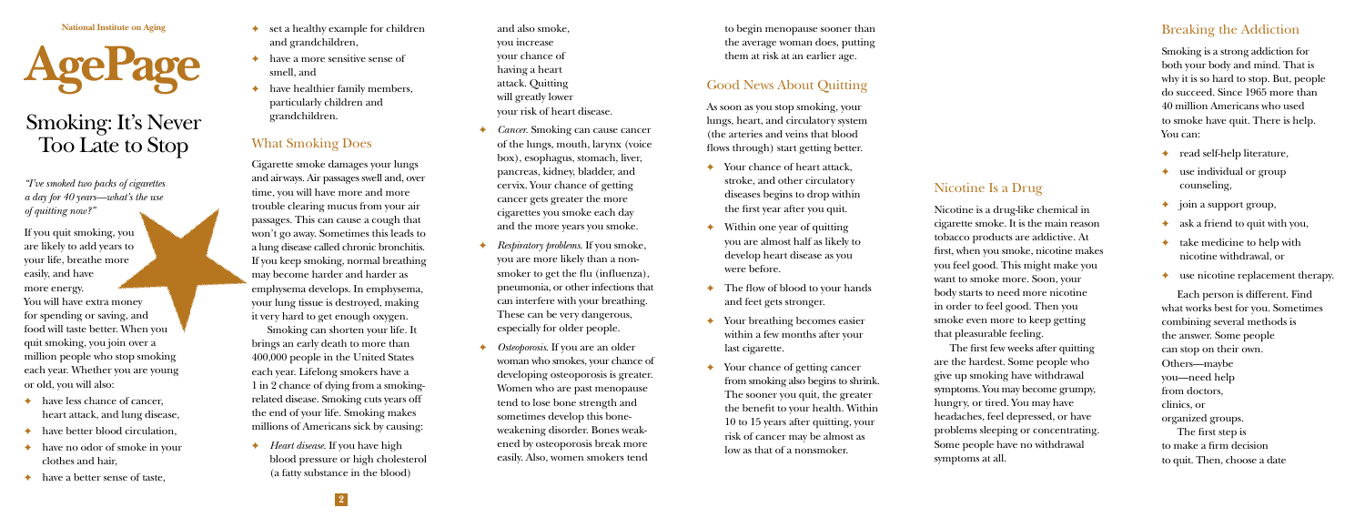**National Institute on Aging**



# Smoking: It's Never Too Late to Stop

*"I've smoked two packs of cigarettes a day for 40 years—what's the use of quitting now?"*

If you quit smoking, you are likely to add years to your life, breathe more easily, and have more energy.

You will have extra money for spending or saving, and food will taste better. When you quit smoking, you join over a million people who stop smoking each year. Whether you are young or old, you will also:

- ✦ have less chance of cancer, heart attack, and lung disease,
- have better blood circulation.
- ✦ have no odor of smoke in your clothes and hair,
- have a better sense of taste,
- set a healthy example for children and grandchildren,
- have a more sensitive sense of smell, and
- have healthier family members, particularly children and grandchildren.

## What Smoking Does

Cigarette smoke damages your lungs and airways. Air passages swell and, over time, you will have more and more trouble clearing mucus from your air passages. This can cause a cough that won't go away. Sometimes this leads to a lung disease called chronic bronchitis. If you keep smoking, normal breathing may become harder and harder as emphysema develops. In emphysema, your lung tissue is destroyed, making it very hard to get enough oxygen.

Smoking can shorten your life. It brings an early death to more than 400,000 people in the United States each year. Lifelong smokers have a 1 in 2 chance of dying from a smokingrelated disease. Smoking cuts years off the end of your life. Smoking makes millions of Americans sick by causing:

Heart disease. If you have high blood pressure or high cholesterol (a fatty substance in the blood)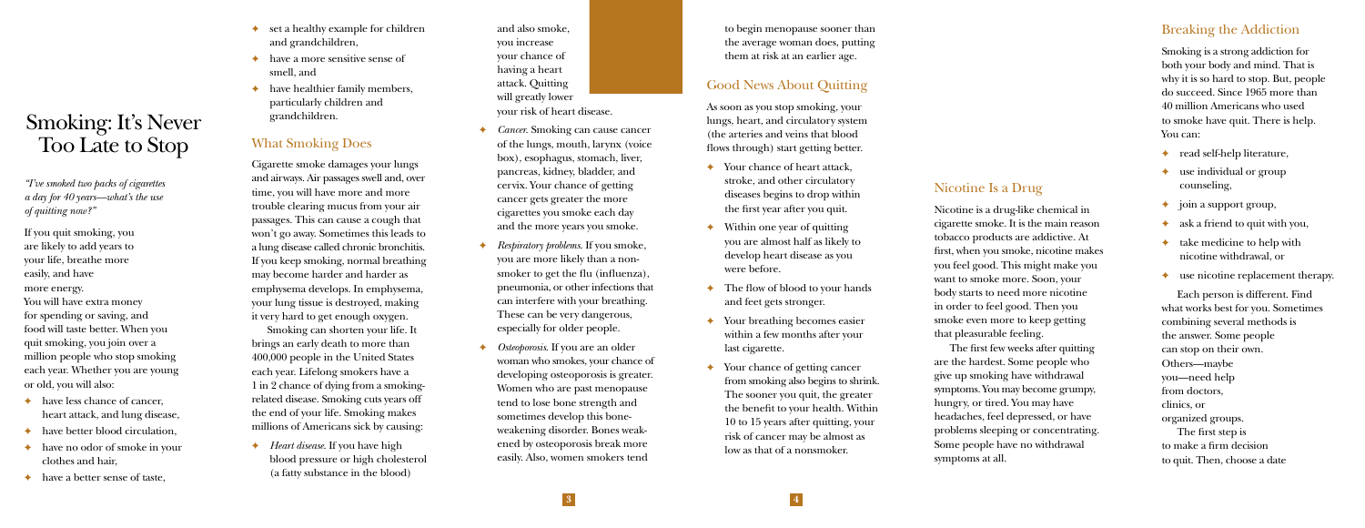and also smoke, you increase your chance of having a heart attack. Quitting will greatly lower your risk of heart disease.

- ✦ *Cancer*. Smoking can cause cancer of the lungs, mouth, larynx (voice box), esophagus, stomach, liver, pancreas, kidney, bladder, and cervix. Your chance of getting cancer gets greater the more cigarettes you smoke each day and the more years you smoke.
- ✦ *Respiratory problems*. If you smoke, you are more likely than a nonsmoker to get the flu (influenza), pneumonia, or other infections that can interfere with your breathing. These can be very dangerous, especially for older people.
- ✦ *Osteoporosis*. If you are an older woman who smokes, your chance of developing osteoporosis is greater. Women who are past menopause tend to lose bone strength and sometimes develop this boneweakening disorder. Bones weakened by osteoporosis break more easily. Also, women smokers tend

to begin menopause sooner than the average woman does, putting them at risk at an earlier age.

## Good News About Quitting

As soon as you stop smoking, your lungs, heart, and circulatory system (the arteries and veins that blood flows through) start getting better.

- Your chance of heart attack, stroke, and other circulatory diseases begins to drop within the first year after you quit.
- Within one year of quitting you are almost half as likely to develop heart disease as you were before.
- The flow of blood to your hands and feet gets stronger.
- Your breathing becomes easier within a few months after your last cigarette.
- Your chance of getting cancer from smoking also begins to shrink. The sooner you quit, the greater the benefit to your health. Within 10 to 15 years after quitting, your risk of cancer may be almost as low as that of a nonsmoker.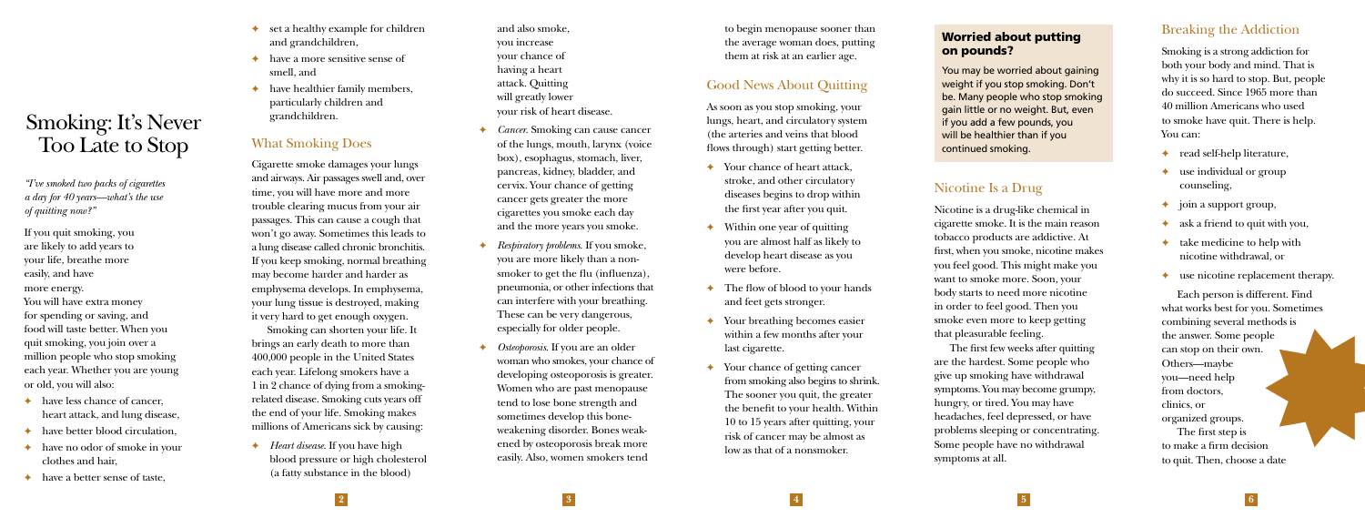#### Worried about putting on pounds?

You may be worried about gaining weight if you stop smoking. Don't be. Many people who stop smoking gain little or no weight. But, even if you add a few pounds, you will be healthier than if you continued smoking.

## Nicotine Is a Drug

Nicotine is a drug-like chemical in cigarette smoke. It is the main reason tobacco products are addictive. At first, when you smoke, nicotine makes you feel good. This might make you want to smoke more. Soon, your body starts to need more nicotine in order to feel good. Then you smoke even more to keep getting that pleasurable feeling.

The first few weeks after quitting are the hardest. Some people who give up smoking have withdrawal symptoms. You may become grumpy, hungry, or tired. You may have headaches, feel depressed, or have problems sleeping or concentrating. Some people have no withdrawal symptoms at all.

## Breaking the Addiction

Smoking is a strong addiction for both your body and mind. That is why it is so hard to stop. But, people do succeed. Since 1965 more than 40 million Americans who used to smoke have quit. There is help. You can:

- read self-help literature,
- use individual or group counseling,
- ✦ join a support group,
- ✦ ask a friend to quit with you,
- take medicine to help with nicotine withdrawal, or
- use nicotine replacement therapy.

Each person is different. Find what works best for you. Sometimes combining several methods is the answer. Some people can stop on their own. Others—maybe you—need help from doctors, clinics, or organized groups. The first step is to make a firm decision to quit. Then, choose a date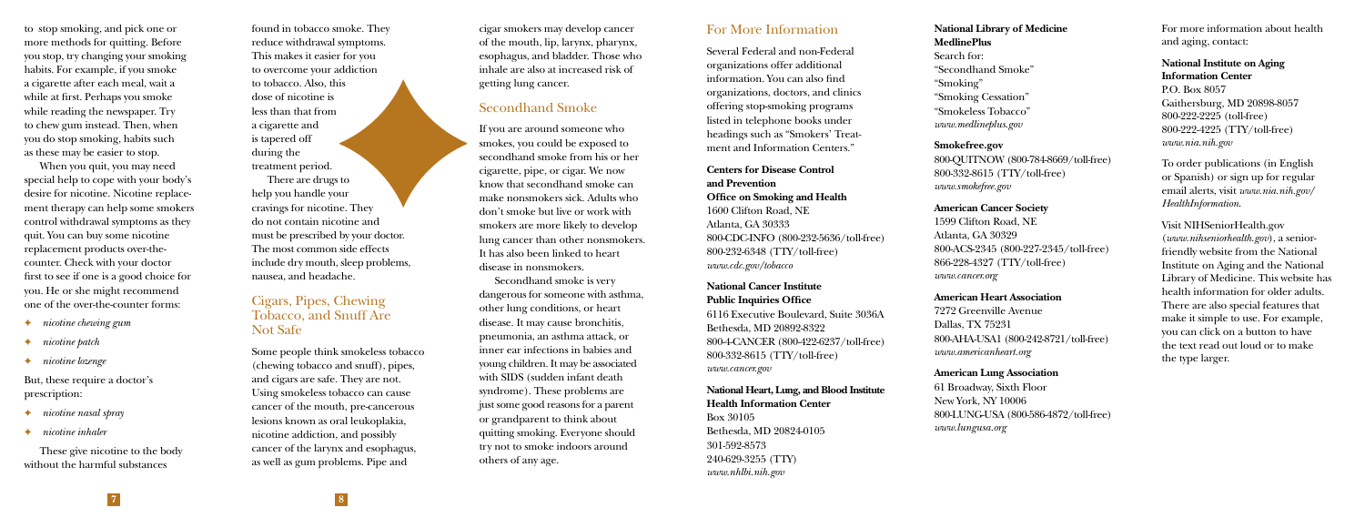to stop smoking, and pick one or more methods for quitting. Before you stop, try changing your smoking habits. For example, if you smoke a cigarette after each meal, wait a while at first. Perhaps you smoke while reading the newspaper. Try to chew gum instead. Then, when you do stop smoking, habits such as these may be easier to stop.

When you quit, you may need special help to cope with your body's desire for nicotine. Nicotine replacement therapy can help some smokers control withdrawal symptoms as they quit. You can buy some nicotine replacement products over-thecounter. Check with your doctor first to see if one is a good choice for you. He or she might recommend one of the over-the-counter forms:

- ✦ *nicotine chewing gum*
- ✦ *nicotine patch*
- ✦ *nicotine lozenge*

But, these require a doctor's prescription:

- ✦ *nicotine nasal spray*
- ✦ *nicotine inhaler*

These give nicotine to the body without the harmful substances

found in tobacco smoke. They reduce withdrawal symptoms. This makes it easier for you to overcome your addiction to tobacco. Also, this dose of nicotine is less than that from a cigarette and is tapered off during the treatment period.

There are drugs to help you handle your cravings for nicotine. They do not contain nicotine and must be prescribed by your doctor. The most common side effects include dry mouth, sleep problems, nausea, and headache.

#### Cigars, Pipes, Chewing Tobacco, and Snuff Are Not Safe

Some people think smokeless tobacco (chewing tobacco and snuff), pipes, and cigars are safe. They are not. Using smokeless tobacco can cause cancer of the mouth, pre-cancerous lesions known as oral leukoplakia, nicotine addiction, and possibly cancer of the larynx and esophagus, as well as gum problems. Pipe and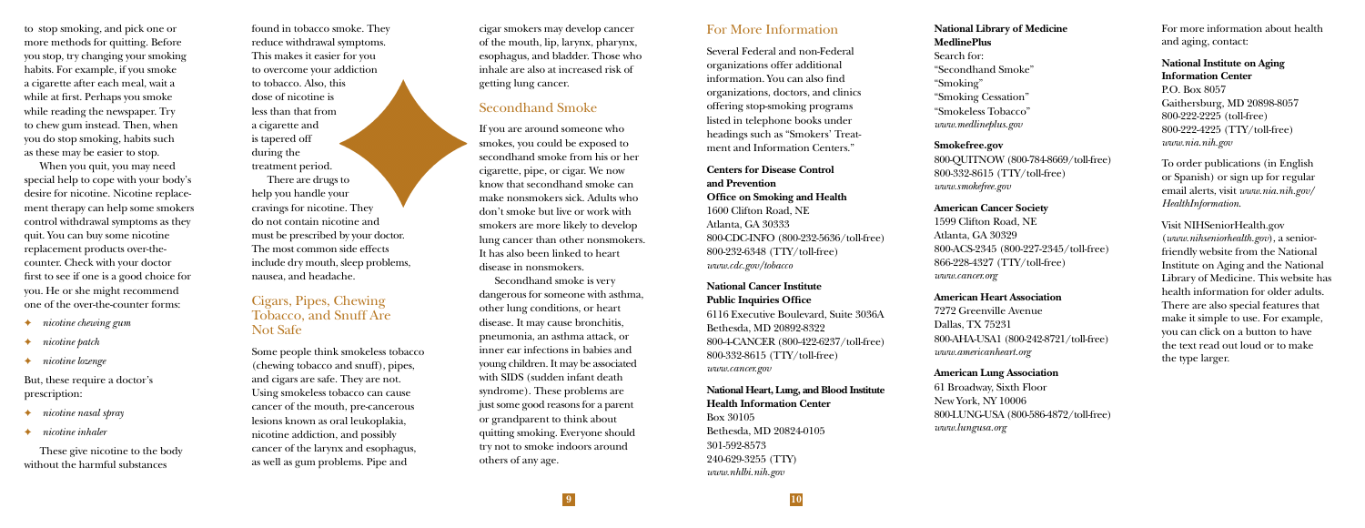cigar smokers may develop cancer of the mouth, lip, larynx, pharynx, esophagus, and bladder. Those who inhale are also at increased risk of getting lung cancer.

## Secondhand Smoke

If you are around someone who smokes, you could be exposed to secondhand smoke from his or her cigarette, pipe, or cigar. We now know that secondhand smoke can make nonsmokers sick. Adults who don't smoke but live or work with smokers are more likely to develop lung cancer than other nonsmokers. It has also been linked to heart disease in nonsmokers.

Secondhand smoke is very dangerous for someone with asthma, other lung conditions, or heart disease. It may cause bronchitis, pneumonia, an asthma attack, or inner ear infections in babies and young children. It may be associated with SIDS (sudden infant death syndrome). These problems are just some good reasons for a parent or grandparent to think about quitting smoking. Everyone should try not to smoke indoors around others of any age.

#### For More Information

Several Federal and non-Federal organizations offer additional information. You can also find organizations, doctors, and clinics offering stop-smoking programs listed in telephone books under headings such as "Smokers' Treatment and Information Centers."

#### **Centers for Disease Control and Prevention Office on Smoking and Health**

1600 Clifton Road, NE Atlanta, GA 30333 800-CDC-INFO (800-232-5636/toll-free) 800-232-6348 (TTY/toll-free) *www.cdc.gov/tobacco*

#### **National Cancer Institute Public Inquiries Office**

6116 Executive Boulevard, Suite 3036A Bethesda, MD 20892-8322 800-4-CANCER (800-422-6237/toll-free) 800-332-8615 (TTY/toll-free) *www.cancer.gov*

#### **National Heart, Lung, and Blood Institute Health Information Center**

Box 30105 Bethesda, MD 20824-0105 301-592-8573 240-629-3255 (TTY) *www.nhlbi.nih.gov*